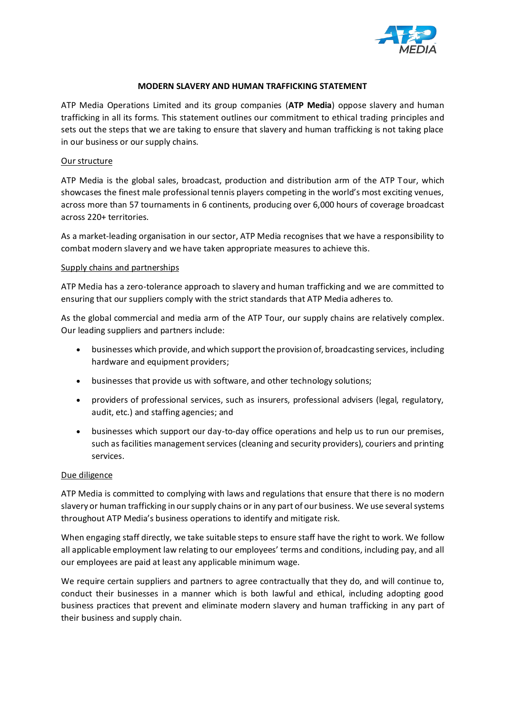

# **MODERN SLAVERY AND HUMAN TRAFFICKING STATEMENT**

ATP Media Operations Limited and its group companies (**ATP Media**) oppose slavery and human trafficking in all its forms. This statement outlines our commitment to ethical trading principles and sets out the steps that we are taking to ensure that slavery and human trafficking is not taking place in our business or our supply chains.

## Our structure

ATP Media is the global sales, broadcast, production and distribution arm of the ATP Tour, which showcases the finest male professional tennis players competing in the world's most exciting venues, across more than 57 tournaments in 6 continents, producing over 6,000 hours of coverage broadcast across 220+ territories.

As a market-leading organisation in our sector, ATP Media recognises that we have a responsibility to combat modern slavery and we have taken appropriate measures to achieve this.

#### Supply chains and partnerships

ATP Media has a zero-tolerance approach to slavery and human trafficking and we are committed to ensuring that our suppliers comply with the strict standards that ATP Media adheres to.

As the global commercial and media arm of the ATP Tour, our supply chains are relatively complex. Our leading suppliers and partners include:

- businesses which provide, and which support the provision of, broadcasting services, including hardware and equipment providers;
- businesses that provide us with software, and other technology solutions;
- providers of professional services, such as insurers, professional advisers (legal, regulatory, audit, etc.) and staffing agencies; and
- businesses which support our day-to-day office operations and help us to run our premises, such as facilities management services (cleaning and security providers), couriers and printing services.

## Due diligence

ATP Media is committed to complying with laws and regulations that ensure that there is no modern slavery or human trafficking in our supply chains or in any part of our business. We use several systems throughout ATP Media's business operations to identify and mitigate risk.

When engaging staff directly, we take suitable steps to ensure staff have the right to work. We follow all applicable employment law relating to our employees' terms and conditions, including pay, and all our employees are paid at least any applicable minimum wage.

We require certain suppliers and partners to agree contractually that they do, and will continue to, conduct their businesses in a manner which is both lawful and ethical, including adopting good business practices that prevent and eliminate modern slavery and human trafficking in any part of their business and supply chain.